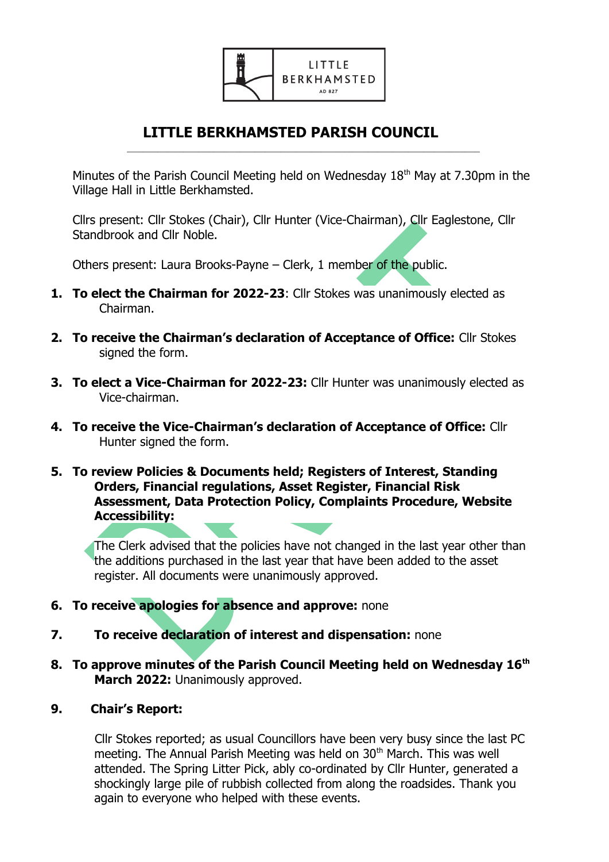

## **LITTLE BERKHAMSTED PARISH COUNCIL**  $\mathcal{L}_\text{max} = \frac{1}{2} \sum_{i=1}^{n} \frac{1}{2} \sum_{i=1}^{n} \frac{1}{2} \sum_{i=1}^{n} \frac{1}{2} \sum_{i=1}^{n} \frac{1}{2} \sum_{i=1}^{n} \frac{1}{2} \sum_{i=1}^{n} \frac{1}{2} \sum_{i=1}^{n} \frac{1}{2} \sum_{i=1}^{n} \frac{1}{2} \sum_{i=1}^{n} \frac{1}{2} \sum_{i=1}^{n} \frac{1}{2} \sum_{i=1}^{n} \frac{1}{2} \sum_{i=1}^{n} \frac{1$

Minutes of the Parish Council Meeting held on Wednesday 18<sup>th</sup> May at 7.30pm in the Village Hall in Little Berkhamsted.

Cllrs present: Cllr Stokes (Chair), Cllr Hunter (Vice-Chairman), Cllr Eaglestone, Cllr Standbrook and Cllr Noble.

Others present: Laura Brooks-Payne – Clerk, 1 member of the public.

- **1. To elect the Chairman for 2022-23**: Cllr Stokes was unanimously elected as Chairman.
- **2. To receive the Chairman's declaration of Acceptance of Office:** Cllr Stokes signed the form.
- **3. To elect a Vice-Chairman for 2022-23:** Cllr Hunter was unanimously elected as Vice-chairman.
- **4. To receive the Vice-Chairman's declaration of Acceptance of Office:** Cllr Hunter signed the form.
- **5. To review Policies & Documents held; Registers of Interest, Standing Orders, Financial regulations, Asset Register, Financial Risk Assessment, Data Protection Policy, Complaints Procedure, Website Accessibility:**

The Clerk advised that the policies have not changed in the last year other than the additions purchased in the last year that have been added to the asset register. All documents were unanimously approved.

- **6. To receive apologies for absence and approve:** none
- **7. To receive declaration of interest and dispensation:** none
- **8. To approve minutes of the Parish Council Meeting held on Wednesday 16th March 2022:** Unanimously approved.
- **9. Chair's Report:**

 Cllr Stokes reported; as usual Councillors have been very busy since the last PC meeting. The Annual Parish Meeting was held on 30<sup>th</sup> March. This was well attended. The Spring Litter Pick, ably co-ordinated by Cllr Hunter, generated a shockingly large pile of rubbish collected from along the roadsides. Thank you again to everyone who helped with these events.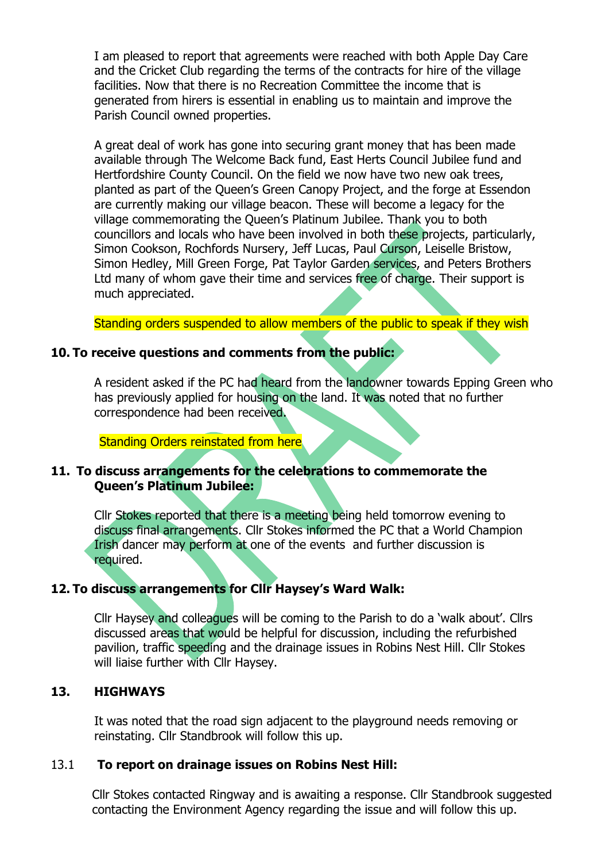I am pleased to report that agreements were reached with both Apple Day Care and the Cricket Club regarding the terms of the contracts for hire of the village facilities. Now that there is no Recreation Committee the income that is generated from hirers is essential in enabling us to maintain and improve the Parish Council owned properties.

A great deal of work has gone into securing grant money that has been made available through The Welcome Back fund, East Herts Council Jubilee fund and Hertfordshire County Council. On the field we now have two new oak trees, planted as part of the Queen's Green Canopy Project, and the forge at Essendon are currently making our village beacon. These will become a legacy for the village commemorating the Queen's Platinum Jubilee. Thank you to both councillors and locals who have been involved in both these projects, particularly, Simon Cookson, Rochfords Nursery, Jeff Lucas, Paul Curson, Leiselle Bristow, Simon Hedley, Mill Green Forge, Pat Taylor Garden services, and Peters Brothers Ltd many of whom gave their time and services free of charge. Their support is much appreciated.

Standing orders suspended to allow members of the public to speak if they wish

# **10. To receive questions and comments from the public:**

A resident asked if the PC had heard from the landowner towards Epping Green who has previously applied for housing on the land. It was noted that no further correspondence had been received.

Standing Orders reinstated from here

### **11. To discuss arrangements for the celebrations to commemorate the Queen's Platinum Jubilee:**

Cllr Stokes reported that there is a meeting being held tomorrow evening to discuss final arrangements. Cllr Stokes informed the PC that a World Champion Irish dancer may perform at one of the events and further discussion is required.

# **12. To discuss arrangements for Cllr Haysey's Ward Walk:**

Cllr Haysey and colleagues will be coming to the Parish to do a 'walk about'. Cllrs discussed areas that would be helpful for discussion, including the refurbished pavilion, traffic speeding and the drainage issues in Robins Nest Hill. Cllr Stokes will liaise further with Cllr Haysey.

# **13. HIGHWAYS**

It was noted that the road sign adjacent to the playground needs removing or reinstating. Cllr Standbrook will follow this up.

### 13.1 **To report on drainage issues on Robins Nest Hill:**

Cllr Stokes contacted Ringway and is awaiting a response. Cllr Standbrook suggested contacting the Environment Agency regarding the issue and will follow this up.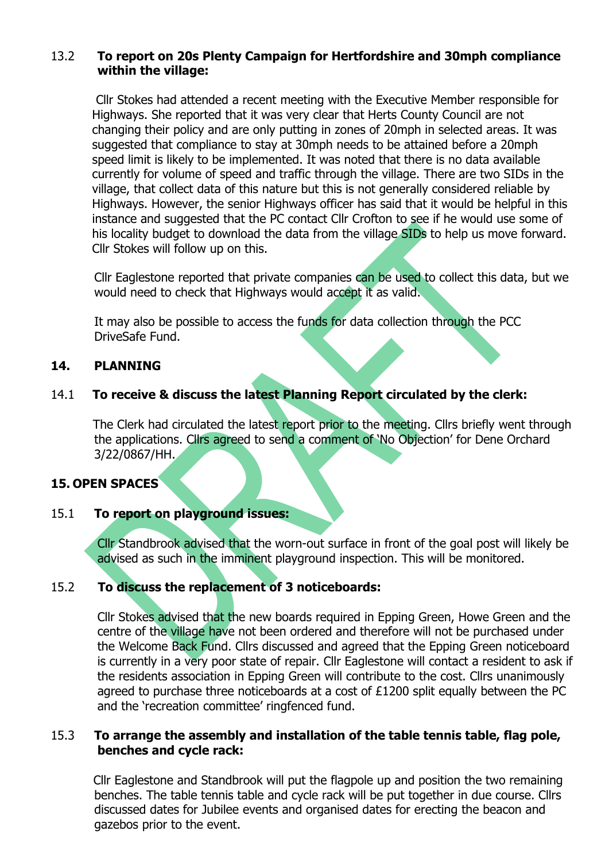# 13.2 **To report on 20s Plenty Campaign for Hertfordshire and 30mph compliance within the village:**

 Cllr Stokes had attended a recent meeting with the Executive Member responsible for Highways. She reported that it was very clear that Herts County Council are not changing their policy and are only putting in zones of 20mph in selected areas. It was suggested that compliance to stay at 30mph needs to be attained before a 20mph speed limit is likely to be implemented. It was noted that there is no data available currently for volume of speed and traffic through the village. There are two SIDs in the village, that collect data of this nature but this is not generally considered reliable by Highways. However, the senior Highways officer has said that it would be helpful in this instance and suggested that the PC contact Cllr Crofton to see if he would use some of his locality budget to download the data from the village SIDs to help us move forward. Cllr Stokes will follow up on this.

Cllr Eaglestone reported that private companies can be used to collect this data, but we would need to check that Highways would accept it as valid.

It may also be possible to access the funds for data collection through the PCC DriveSafe Fund.

## **14. PLANNING**

# 14.1 **To receive & discuss the latest Planning Report circulated by the clerk:**

The Clerk had circulated the latest report prior to the meeting. Cllrs briefly went through the applications. Cllrs agreed to send a comment of 'No Objection' for Dene Orchard 3/22/0867/HH.

### **15. OPEN SPACES**

## 15.1 **To report on playground issues:**

Cllr Standbrook advised that the worn-out surface in front of the goal post will likely be advised as such in the imminent playground inspection. This will be monitored.

### 15.2 **To discuss the replacement of 3 noticeboards:**

Cllr Stokes advised that the new boards required in Epping Green, Howe Green and the centre of the village have not been ordered and therefore will not be purchased under the Welcome Back Fund. Cllrs discussed and agreed that the Epping Green noticeboard is currently in a very poor state of repair. Cllr Eaglestone will contact a resident to ask if the residents association in Epping Green will contribute to the cost. Cllrs unanimously agreed to purchase three noticeboards at a cost of £1200 split equally between the PC and the 'recreation committee' ringfenced fund.

## 15.3 **To arrange the assembly and installation of the table tennis table, flag pole, benches and cycle rack:**

 Cllr Eaglestone and Standbrook will put the flagpole up and position the two remaining benches. The table tennis table and cycle rack will be put together in due course. Cllrs discussed dates for Jubilee events and organised dates for erecting the beacon and gazebos prior to the event.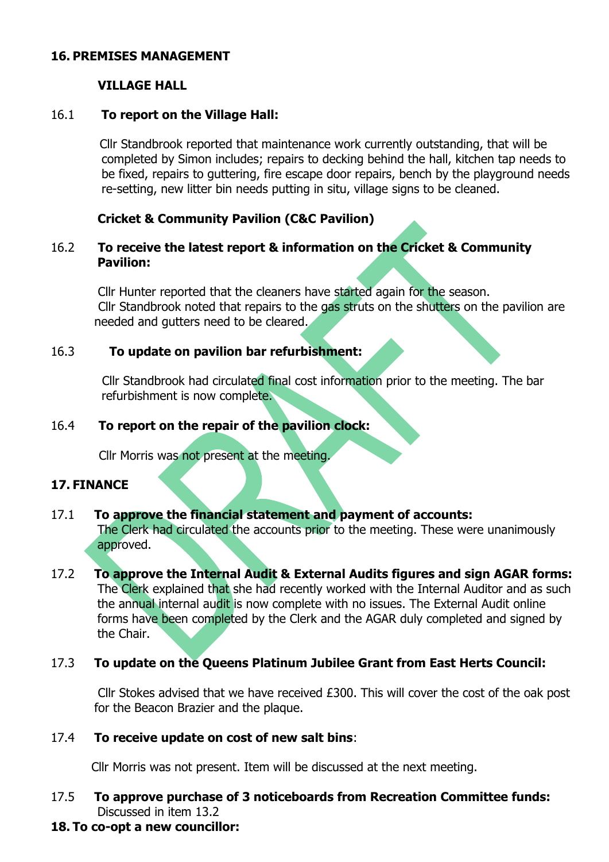### **16. PREMISES MANAGEMENT**

# **VILLAGE HALL**

## 16.1 **To report on the Village Hall:**

 Cllr Standbrook reported that maintenance work currently outstanding, that will be completed by Simon includes; repairs to decking behind the hall, kitchen tap needs to be fixed, repairs to guttering, fire escape door repairs, bench by the playground needs re-setting, new litter bin needs putting in situ, village signs to be cleaned.

## **Cricket & Community Pavilion (C&C Pavilion)**

# 16.2 **To receive the latest report & information on the Cricket & Community Pavilion:**

Cllr Hunter reported that the cleaners have started again for the season. Cllr Standbrook noted that repairs to the gas struts on the shutters on the pavilion are needed and gutters need to be cleared.

## 16.3 **To update on pavilion bar refurbishment:**

 Cllr Standbrook had circulated final cost information prior to the meeting. The bar refurbishment is now complete.

## 16.4 **To report on the repair of the pavilion clock:**

Cllr Morris was not present at the meeting.

### **17. FINANCE**

#### 17.1 **To approve the financial statement and payment of accounts:**  The Clerk had circulated the accounts prior to the meeting. These were unanimously approved.

# 17.2 **To approve the Internal Audit & External Audits figures and sign AGAR forms:** The Clerk explained that she had recently worked with the Internal Auditor and as such the annual internal audit is now complete with no issues. The External Audit online forms have been completed by the Clerk and the AGAR duly completed and signed by the Chair.

# 17.3 **To update on the Queens Platinum Jubilee Grant from East Herts Council:**

Cllr Stokes advised that we have received £300. This will cover the cost of the oak post for the Beacon Brazier and the plaque.

## 17.4 **To receive update on cost of new salt bins**:

Cllr Morris was not present. Item will be discussed at the next meeting.

# 17.5 **To approve purchase of 3 noticeboards from Recreation Committee funds:**  Discussed in item 13.2

### **18. To co-opt a new councillor:**